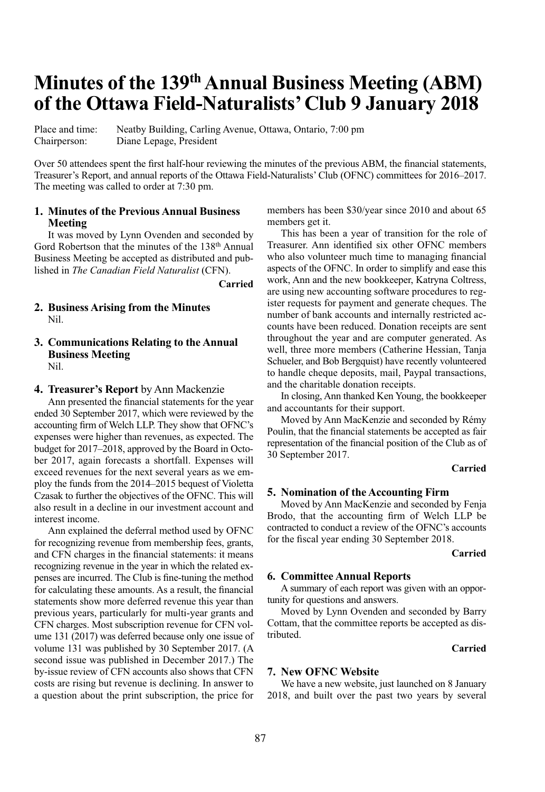# **Minutes of the 139th Annual Business Meeting (ABM) of the Ottawa Field-Naturalists'Club 9 January 2018**

Place and time: Neatby Building, Carling Avenue, Ottawa, Ontario, 7:00 pm Chairperson: Diane Lepage, President

Over 50 attendees spent the first half-hour reviewing the minutes of the previous ABM, the financial statements, Treasurer's Report, and annual reports of the Ottawa Field-Naturalists' Club (OFNC) committees for 2016–2017. The meeting was called to order at 7:30 pm.

## **1. Minutes of the Previous Annual Business Meeting**

 It was moved by Lynn Ovenden and seconded by Gord Robertson that the minutes of the 138<sup>th</sup> Annual Business Meeting be accepted as distributed and published in *The Canadian Field Naturalist* (CFN).

**Carried**

- **2. Business Arising from the Minutes** Nil.
- **3. Communications Relating to the Annual Business Meeting** Nil.

## **4. Treasurer's Report** by Ann Mackenzie

Ann presented the financial statements for the year ended 30 September 2017, which were reviewed by the accounting firm of Welch LLP. They show that OFNC's expenses were higher than revenues, as expected. The budget for 2017–2018, approved by the Board in October 2017, again forecasts a shortfall. Expenses will exceed revenues for the next several years as we employ the funds from the 2014–2015 bequest of Violetta Czasak to further the objectives of the OFNC. This will also result in a decline in our investment account and interest income.

Ann explained the deferral method used by OFNC for recognizing revenue from membership fees, grants, and CFN charges in the financial statements: it means recognizing revenue in the year in which the related expenses are incurred. The Club is fine-tuning the method for calculating these amounts. As a result, the financial statements show more deferred revenue this year than previous years, particularly for multi-year grants and CFN charges. Most subscription revenue for CFN volume 131 (2017) was deferred because only one issue of volume 131 was published by 30 September 2017. (A second issue was published in December 2017.) The by-issue review of CFN accounts also shows that CFN costs are rising but revenue is declining. In answer to a question about the print subscription, the price for members has been \$30/year since 2010 and about 65 members get it.

This has been a year of transition for the role of Treasurer. Ann identified six other OFNC members who also volunteer much time to managing financial aspects of the OFNC. In order to simplify and ease this work, Ann and the new bookkeeper, Katryna Coltress, are using new accounting software procedures to register requests for payment and generate cheques. The number of bank accounts and internally restricted accounts have been reduced. Donation receipts are sent throughout the year and are computer generated. As well, three more members (Catherine Hessian, Tanja Schueler, and Bob Bergquist) have recently volunteered to handle cheque deposits, mail, Paypal transactions, and the charitable donation receipts.

In closing, Ann thanked Ken Young, the bookkeeper and accountants for their support.

Moved by Ann MacKenzie and seconded by Rémy Poulin, that the financial statements be accepted as fair representation of the financial position of the Club as of 30 September 2017.

## **Carried**

## **5. Nomination of the Accounting Firm**

Moved by Ann MacKenzie and seconded by Fenja Brodo, that the accounting firm of Welch LLP be contracted to conduct a review of the OFNC's accounts for the fiscal year ending 30 September 2018.

#### **Carried**

## **6. Committee Annual Reports**

A summary of each report was given with an opportunity for questions and answers.

Moved by Lynn Ovenden and seconded by Barry Cottam, that the committee reports be accepted as distributed.

#### **Carried**

## **7. New OFNC Website**

We have a new website, just launched on 8 January 2018, and built over the past two years by several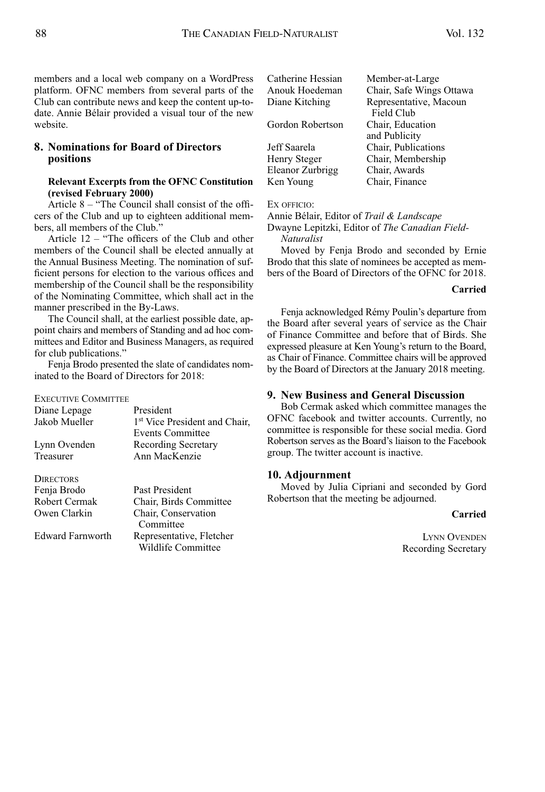members and a local web company on a WordPress platform. OFNC members from several parts of the Club can contribute news and keep the content up-todate. Annie Bélair provided a visual tour of the new website.

## **8. Nominations for Board of Directors positions**

#### **Relevant Excerpts from the OFNC Constitution (revised February 2000)**

Article 8 – "The Council shall consist of the officers of the Club and up to eighteen additional members, all members of the Club."

Article 12 – "The officers of the Club and other members of the Council shall be elected annually at the Annual Business Meeting. The nomination of sufficient persons for election to the various offices and membership of the Council shall be the responsibility of the Nominating Committee, which shall act in the manner prescribed in the By-Laws.

The Council shall, at the earliest possible date, appoint chairs and members of Standing and ad hoc committees and Editor and Business Managers, as required for club publications."

Fenja Brodo presented the slate of candidates nominated to the Board of Directors for 2018:

## ExECuTIVE COMMITTEE

| Diane Lepage            | President                                 |  |  |  |  |
|-------------------------|-------------------------------------------|--|--|--|--|
| Jakob Mueller           | 1 <sup>st</sup> Vice President and Chair, |  |  |  |  |
|                         | Events Committee                          |  |  |  |  |
| Lynn Ovenden            | Recording Secretary                       |  |  |  |  |
| Treasurer               | Ann MacKenzie                             |  |  |  |  |
| <b>DIRECTORS</b>        |                                           |  |  |  |  |
| Fenja Brodo             | Past President                            |  |  |  |  |
| Robert Cermak           | Chair, Birds Committee                    |  |  |  |  |
| Owen Clarkin            | Chair, Conservation                       |  |  |  |  |
|                         | Committee                                 |  |  |  |  |
| <b>Edward Farnworth</b> | Representative, Fletcher                  |  |  |  |  |
|                         | Wildlife Committee                        |  |  |  |  |

Catherine Hessian Member-at-Large Anouk Hoedeman Chair, Safe Wings Ottawa Diane Kitching Representative, Macoun

Gordon Robertson Chair, Education

Jeff Saarela Chair, Publications Henry Steger Chair, Membership Eleanor Zurbrigg Chair, Awards Ken Young Chair, Finance

## Ex OFFICIO:

Annie Bélair, Editor of *Trail & Landscape* Dwayne Lepitzki, Editor of *The Canadian Field-*

*Naturalist*

Moved by Fenja Brodo and seconded by Ernie Brodo that this slate of nominees be accepted as members of the Board of Directors of the OFNC for 2018.

Field Club

and Publicity

## **Carried**

Fenja acknowledged Rémy Poulin's departure from the Board after several years of service as the Chair of Finance Committee and before that of Birds. She expressed pleasure at Ken Young's return to the Board, as Chair of Finance. Committee chairs will be approved by the Board of Directors at the January 2018 meeting.

#### **9. New Business and General Discussion**

Bob Cermak asked which committee manages the OFNC facebook and twitter accounts. Currently, no committee is responsible for these social media. Gord Robertson serves as the Board's liaison to the Facebook group. The twitter account is inactive.

## **10. Adjournment**

Moved by Julia Cipriani and seconded by Gord Robertson that the meeting be adjourned.

#### **Carried**

LYNN OVENDEN Recording Secretary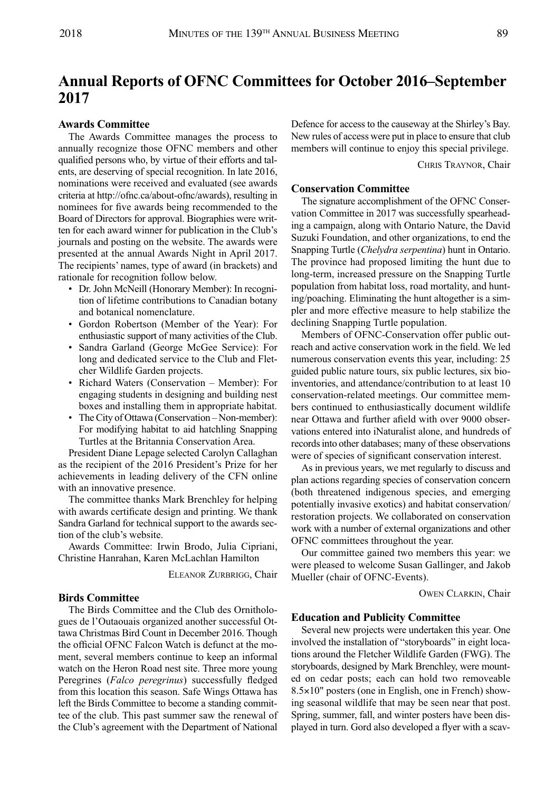## **Annual Reports of OFNC Committees for October 2016–September 2017**

## **Awards Committee**

The Awards Committee manages the process to annually recognize those OFNC members and other qualified persons who, by virtue of their efforts and talents, are deserving of special recognition. In late 2016, nominations were received and evaluated (see awards criteria at [http://ofnc.ca/about-ofnc/awards\)](http://ofnc.ca/about-ofnc/awards), resulting in nominees for five awards being recommended to the Board of Directors for approval. Biographies were written for each award winner for publication in the Club's journals and posting on the website. The awards were presented at the annual Awards Night in April 2017. The recipients' names, type of award (in brackets) and rationale for recognition follow below.

- Dr. John McNeill (Honorary Member): In recognition of lifetime contributions to Canadian botany and botanical nomenclature.
- Gordon Robertson (Member of the Year): For enthusiastic support of many activities of the Club.
- Sandra Garland (George McGee Service): For long and dedicated service to the Club and Fletcher Wildlife Garden projects.
- Richard Waters (Conservation Member): For engaging students in designing and building nest boxes and installing them in appropriate habitat.
- TheCity of Ottawa (Conservation Non-member): For modifying habitat to aid hatchling Snapping Turtles at the Britannia Conservation Area.

President Diane Lepage selected Carolyn Callaghan as the recipient of the 2016 President's Prize for her achievements in leading delivery of the CFN online with an innovative presence.

The committee thanks Mark Brenchley for helping with awards certificate design and printing. We thank Sandra Garland for technical support to the awards section of the club's website.

Awards Committee: Irwin Brodo, Julia Cipriani, Christine Hanrahan, Karen McLachlan Hamilton

ELEANOR ZuRBRIGG, Chair

## **Birds Committee**

The Birds Committee and the Club des Ornithologues de l'Outaouais organized another successful Ottawa Christmas Bird Count in December 2016. Though the official OFNC Falcon Watch is defunct at the moment, several members continue to keep an informal watch on the Heron Road nest site. Three more young Peregrines (*Falco peregrinus*) successfully fledged from this location this season. Safe Wings Ottawa has left the Birds Committee to become a standing committee of the club. This past summer saw the renewal of the Club's agreement with the Department of National Defence for access to the causeway at the Shirley's Bay. New rules of access were put in place to ensure that club members will continue to enjoy this special privilege.

#### CHRIS TRAYNOR, Chair

## **Conservation Committee**

The signature accomplishment of the OFNC Conservation Committee in 2017 was successfully spearheading a campaign, along with Ontario Nature, the David Suzuki Foundation, and other organizations, to end the Snapping Turtle (*Chelydra serpentina*) hunt in Ontario. The province had proposed limiting the hunt due to long-term, increased pressure on the Snapping Turtle population from habitat loss, road mortality, and hunting/poaching. Eliminating the hunt altogether is a simpler and more effective measure to help stabilize the declining Snapping Turtle population.

Members of OFNC-Conservation offer public outreach and active conservation work in the field. We led numerous conservation events this year, including: 25 guided public nature tours, six public lectures, six bioinventories, and attendance/contribution to at least 10 conservation-related meetings. Our committee members continued to enthusiastically document wildlife near Ottawa and further afield with over 9000 observations entered into iNaturalist alone, and hundreds of records into other databases; many of these observations were of species of significant conservation interest.

As in previous years, we met regularly to discuss and plan actions regarding species of conservation concern (both threatened indigenous species, and emerging potentially invasive exotics) and habitat conservation/ restoration projects. We collaborated on conservation work with a number of external organizations and other OFNC committees throughout the year.

Our committee gained two members this year: we were pleased to welcome Susan Gallinger, and Jakob Mueller (chair of OFNC-Events).

OWEN CLARKIN, Chair

#### **Education and Publicity Committee**

Several new projects were undertaken this year. One involved the installation of "storyboards" in eight locations around the Fletcher Wildlife Garden (FWG). The storyboards, designed by Mark Brenchley, were mounted on cedar posts; each can hold two removeable 8.5×10" posters (one in English, one in French) showing seasonal wildlife that may be seen near that post. Spring, summer, fall, and winter posters have been displayed in turn. Gord also developed a flyer with a scav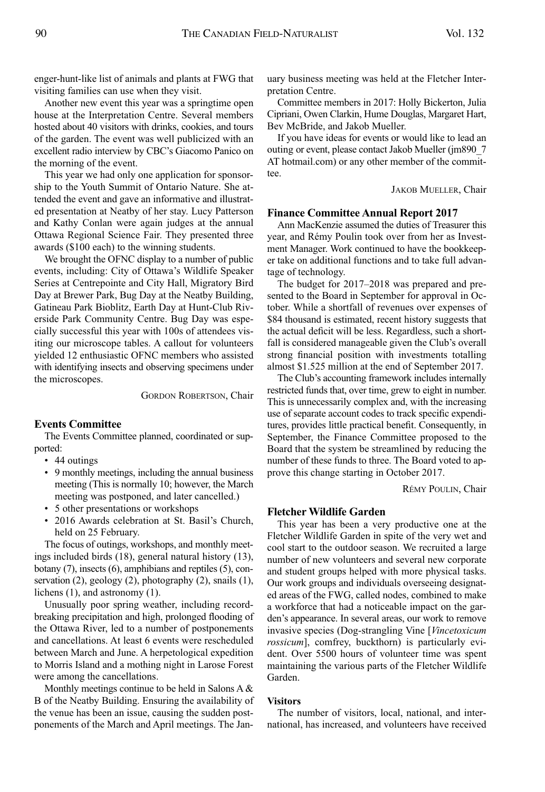enger-hunt-like list of animals and plants at FWG that visiting families can use when they visit.

Another new event this year was a springtime open house at the Interpretation Centre. Several members hosted about 40 visitors with drinks, cookies, and tours of the garden. The event was well publicized with an excellent radio interview by CBC's Giacomo Panico on the morning of the event.

This year we had only one application for sponsorship to the Youth Summit of Ontario Nature. She attended the event and gave an informative and illustrated presentation at Neatby of her stay. Lucy Patterson and Kathy Conlan were again judges at the annual Ottawa Regional Science Fair. They presented three awards (\$100 each) to the winning students.

We brought the OFNC display to a number of public events, including: City of Ottawa's Wildlife Speaker Series at Centrepointe and City Hall, Migratory Bird Day at Brewer Park, Bug Day at the Neatby Building, Gatineau Park Bioblitz, Earth Day at Hunt-Club Riverside Park Community Centre. Bug Day was especially successful this year with 100s of attendees visiting our microscope tables. A callout for volunteers yielded 12 enthusiastic OFNC members who assisted with identifying insects and observing specimens under the microscopes.

GORDON ROBERTSON, Chair

#### **Events Committee**

The Events Committee planned, coordinated or supported:

- 44 outings
- 9 monthly meetings, including the annual business meeting (This is normally 10; however, the March meeting was postponed, and later cancelled.)
- 5 other presentations or workshops
- 2016 Awards celebration at St. Basil's Church, held on 25 February.

The focus of outings, workshops, and monthly meetings included birds (18), general natural history (13), botany (7), insects (6), amphibians and reptiles (5), conservation (2), geology (2), photography (2), snails (1), lichens (1), and astronomy (1).

Unusually poor spring weather, including recordbreaking precipitation and high, prolonged flooding of the Ottawa River, led to a number of postponements and cancellations. At least 6 events were rescheduled between March and June. A herpetological expedition to Morris Island and a mothing night in Larose Forest were among the cancellations.

Monthly meetings continue to be held in Salons A & B of the Neatby Building. Ensuring the availability of the venue has been an issue, causing the sudden postponements of the March and April meetings. The January business meeting was held at the Fletcher Interpretation Centre.

Committee members in 2017: Holly Bickerton, Julia Cipriani, Owen Clarkin, Hume Douglas, Margaret Hart, Bev McBride, and Jakob Mueller.

If you have ideas for events or would like to lead an outing or event, please contact Jakob Mueller (jm890\_7 AT hotmail.com) or any other member of the committee.

JAKOB MuELLER, Chair

#### **Finance Committee Annual Report 2017**

Ann MacKenzie assumed the duties of Treasurer this year, and Rémy Poulin took over from her as Investment Manager. Work continued to have the bookkeeper take on additional functions and to take full advantage of technology.

The budget for 2017–2018 was prepared and presented to the Board in September for approval in October. While a shortfall of revenues over expenses of \$84 thousand is estimated, recent history suggests that the actual deficit will be less. Regardless, such a shortfall is considered manageable given the Club's overall strong financial position with investments totalling almost \$1.525 million at the end of September 2017.

The Club's accounting framework includes internally restricted funds that, over time, grew to eight in number. This is unnecessarily complex and, with the increasing use of separate account codes to track specific expenditures, provides little practical benefit. Consequently, in September, the Finance Committee proposed to the Board that the system be streamlined by reducing the number of these funds to three. The Board voted to approve this change starting in October 2017.

RéMY POuLIN, Chair

## **Fletcher Wildlife Garden**

This year has been a very productive one at the Fletcher Wildlife Garden in spite of the very wet and cool start to the outdoor season. We recruited a large number of new volunteers and several new corporate and student groups helped with more physical tasks. Our work groups and individuals overseeing designated areas of the FWG, called nodes, combined to make a workforce that had a noticeable impact on the garden's appearance. In several areas, our work to remove invasive species (Dog-strangling Vine [*Vincetoxicum rossicum*], comfrey, buckthorn) is particularly evident. Over 5500 hours of volunteer time was spent maintaining the various parts of the Fletcher Wildlife Garden.

#### **Visitors**

The number of visitors, local, national, and international, has increased, and volunteers have received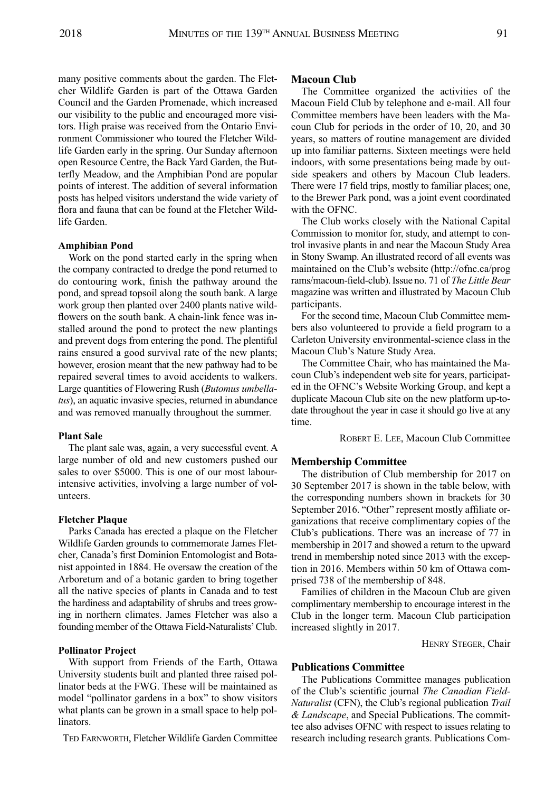many positive comments about the garden. The Fletcher Wildlife Garden is part of the Ottawa Garden Council and the Garden Promenade, which increased our visibility to the public and encouraged more visitors. High praise was received from the Ontario Environment Commissioner who toured the Fletcher Wildlife Garden early in the spring. Our Sunday afternoon open Resource Centre, the Back Yard Garden, the Butterfly Meadow, and the Amphibian Pond are popular points of interest. The addition of several information posts has helped visitors understand the wide variety of flora and fauna that can be found at the Fletcher Wildlife Garden.

#### **Amphibian Pond**

Work on the pond started early in the spring when the company contracted to dredge the pond returned to do contouring work, finish the pathway around the pond, and spread topsoil along the south bank. A large work group then planted over 2400 plants native wildflowers on the south bank. A chain-link fence was installed around the pond to protect the new plantings and prevent dogs from entering the pond. The plentiful rains ensured a good survival rate of the new plants; however, erosion meant that the new pathway had to be repaired several times to avoid accidents to walkers. Large quantities of Flowering Rush (*Butomus umbellatus*), an aquatic invasive species, returned in abundance and was removed manually throughout the summer.

#### **Plant Sale**

The plant sale was, again, a very successful event. A large number of old and new customers pushed our sales to over \$5000. This is one of our most labourintensive activities, involving a large number of volunteers.

#### **Fletcher Plaque**

Parks Canada has erected a plaque on the Fletcher Wildlife Garden grounds to commemorate James Fletcher, Canada's first Dominion Entomologist and Botanist appointed in 1884. He oversaw the creation of the Arboretum and of a botanic garden to bring together all the native species of plants in Canada and to test the hardiness and adaptability of shrubs and trees growing in northern climates. James Fletcher was also a founding member of the Ottawa Field-Naturalists' Club.

## **Pollinator Project**

With support from Friends of the Earth, Ottawa University students built and planted three raised pollinator beds at the FWG. These will be maintained as model "pollinator gardens in a box" to show visitors what plants can be grown in a small space to help pollinators.

TED FARNWORTH, Fletcher Wildlife Garden Committee

#### **Macoun Club**

The Committee organized the activities of the Macoun Field Club by telephone and e-mail. All four Committee members have been leaders with the Macoun Club for periods in the order of 10, 20, and 30 years, so matters of routine management are divided up into familiar patterns. Sixteen meetings were held indoors, with some presentations being made by outside speakers and others by Macoun Club leaders. There were 17 field trips, mostly to familiar places; one, to the Brewer Park pond, was a joint event coordinated with the OFNC.

The Club works closely with the National Capital Commission to monitor for, study, and attempt to control invasive plants in and near the Macoun Study Area in Stony Swamp. An illustrated record of all events was maintained on the Club's website [\(http://ofnc.ca/prog](http://ofnc.ca/programs/macoun-field-club) [rams/macoun-field-club\)](http://ofnc.ca/programs/macoun-field-club).Issue no. 71 of *The Little Bear* magazine was written and illustrated by Macoun Club participants.

For the second time, Macoun Club Committee members also volunteered to provide a field program to a Carleton University environmental-science class in the Macoun Club's Nature Study Area.

The Committee Chair, who has maintained the Macoun Club's independent web site for years, participated in the OFNC's Website Working Group, and kept a duplicate Macoun Club site on the new platform up-todate throughout the year in case it should go live at any time.

ROBERT E. LEE, Macoun Club Committee

## **Membership Committee**

The distribution of Club membership for 2017 on 30 September 2017 is shown in the table below, with the corresponding numbers shown in brackets for 30 September 2016. "Other" represent mostly affiliate organizations that receive complimentary copies of the Club's publications. There was an increase of 77 in membership in 2017 and showed a return to the upward trend in membership noted since 2013 with the exception in 2016. Members within 50 km of Ottawa comprised 738 of the membership of 848.

Families of children in the Macoun Club are given complimentary membership to encourage interest in the Club in the longer term. Macoun Club participation increased slightly in 2017.

HENRY STEGER, Chair

## **Publications Committee**

The Publications Committee manages publication of the Club's scientific journal *The Canadian Field-Naturalist* (CFN), the Club's regional publication *Trail & Landscape*, and Special Publications. The committee also advises OFNC with respect to issues relating to research including research grants. Publications Com-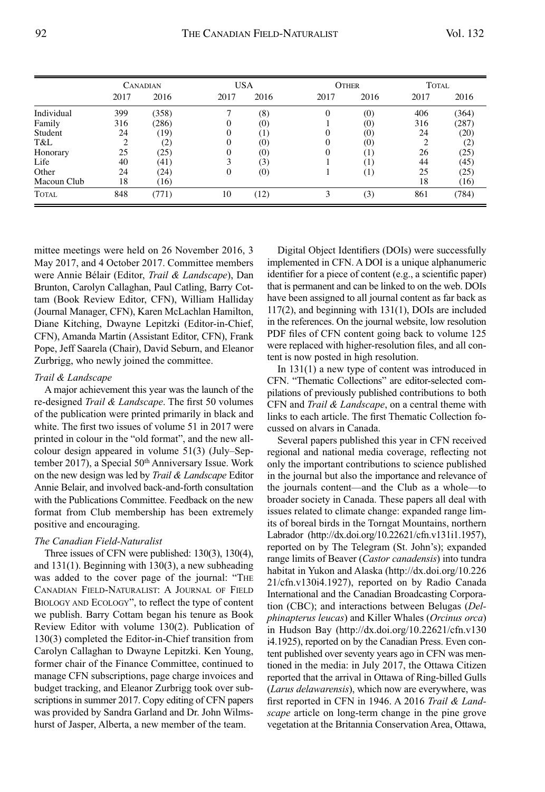|              | <b>CANADIAN</b> |       | <b>USA</b>   |          | <b>OTHER</b> |                     | <b>TOTAL</b> |       |
|--------------|-----------------|-------|--------------|----------|--------------|---------------------|--------------|-------|
|              | 2017            | 2016  | 2017         | 2016     | 2017         | 2016                | 2017         | 2016  |
| Individual   | 399             | (358) |              | (8)      | 0            | (0)                 | 406          | (364) |
| Family       | 316             | (286) | 0            | (0)      |              | $\left( 0\right)$   | 316          | (287) |
| Student      | 24              | (19)  | 0            | $^{(1)}$ | 0            | (0)                 | 24           | (20)  |
| T&L          | ◠               | (2)   | $\mathbf{0}$ | (0)      | 0            | $\left( 0\right)$   |              | (2)   |
| Honorary     | 25              | (25)  | $\mathbf{0}$ | (0)      | $\theta$     | $\scriptstyle{(1)}$ | 26           | (25)  |
| Life         | 40              | (41)  | 3            | (3)      |              | 11                  | 44           | (45)  |
| Other        | 24              | (24)  | $\mathbf{0}$ | (0)      |              | $_{\left(1\right)}$ | 25           | (25)  |
| Macoun Club  | 18              | (16)  |              |          |              |                     | 18           | (16)  |
| <b>TOTAL</b> | 848             | (771) | 10           | (12)     | 3            | (3)                 | 861          | (784) |

mittee meetings were held on 26 November 2016, 3 May 2017, and 4 October 2017. Committee members were Annie Bélair (Editor, *Trail & Landscape*), Dan Brunton, Carolyn Callaghan, Paul Catling, Barry Cottam (Book Review Editor, CFN), William Halliday (Journal Manager, CFN), Karen McLachlan Hamilton, Diane Kitching, Dwayne Lepitzki (Editor-in-Chief, CFN), Amanda Martin (Assistant Editor, CFN), Frank Pope, Jeff Saarela (Chair), David Seburn, and Eleanor Zurbrigg, who newly joined the committee.

## *Trail & Landscape*

A major achievement this year was the launch of the re-designed *Trail & Landscape*. The first 50 volumes of the publication were printed primarily in black and white. The first two issues of volume 51 in 2017 were printed in colour in the "old format", and the new allcolour design appeared in volume 51(3) (July–September 2017), a Special 50<sup>th</sup> Anniversary Issue. Work on the new design was led by *Trail & Landscape* Editor Annie Belair, and involved back-and-forth consultation with the Publications Committee. Feedback on the new format from Club membership has been extremely positive and encouraging.

### *The Canadian Field-Naturalist*

Three issues of CFN were published: 130(3), 130(4), and 131(1). Beginning with 130(3), a new subheading was added to the cover page of the journal: "THE CANADIAN FIELD-NATuRALIST: A JOuRNAL OF FIELD BIOLOGY AND ECOLOGY", to reflect the type of content we publish. Barry Cottam began his tenure as Book Review Editor with volume 130(2). Publication of 130(3) completed the Editor-in-Chief transition from Carolyn Callaghan to Dwayne Lepitzki. Ken Young, former chair of the Finance Committee, continued to manage CFN subscriptions, page charge invoices and budget tracking, and Eleanor Zurbrigg took over subscriptions in summer 2017. Copy editing of CFN papers was provided by Sandra Garland and Dr. John Wilmshurst of Jasper, Alberta, a new member of the team.

Digital Object Identifiers (DOIs) were successfully implemented in CFN. A DOI is a unique alphanumeric identifier for a piece of content (e.g., a scientific paper) that is permanent and can be linked to on the web. DOIs have been assigned to all journal content as far back as 117(2), and beginning with 131(1), DOIs are included in the references. On the journal website, low resolution PDF files of CFN content going back to volume 125 were replaced with higher-resolution files, and all content is now posted in high resolution.

In 131(1) a new type of content was introduced in CFN. "Thematic Collections" are editor-selected compilations of previously published contributions to both CFN and *Trail & Landscape*, on a central theme with links to each article. The first Thematic Collection focussed on alvars in Canada.

Several papers published this year in CFN received regional and national media coverage, reflecting not only the important contributions to science published in the journal but also the importance and relevance of the journals content—and the Club as a whole—to broader society in Canada. These papers all deal with issues related to climate change: expanded range limits of boreal birds in the Torngat Mountains, northern Labrador [\(http://dx.doi.org/10.22621/cfn.v131i1.1957\)](http://dx.doi.org/10.22621/cfn.v131i1.1957), reported on by The Telegram (St. John's); expanded range limits of Beaver (*Castor canadensis*) into tundra habitat in Yukon and Alaska [\(http://dx.doi.org/10.226](http://dx.doi.org/10.22621/cfn.v130i4.1927) [21/cfn.v130i4.1927\)](http://dx.doi.org/10.22621/cfn.v130i4.1927), reported on by Radio Canada International and the Canadian Broadcasting Corporation (CBC); and interactions between Belugas (*Delphinapterus leucas*) and Killer Whales (*Orcinus orca*) in Hudson Bay [\(http://dx.doi.org/10.22621/cfn.v130](http://dx.doi.org/10.22621/cfn.v130i4.1925) [i4.1925\)](http://dx.doi.org/10.22621/cfn.v130i4.1925), reported on by the Canadian Press. Even content published over seventy years ago in CFN was mentioned in the media: in July 2017, the Ottawa Citizen reported that the arrival in Ottawa of Ring-billed Gulls (*Larus delawarensis*), which now are everywhere, was first reported in CFN in 1946. A 2016 *Trail & Landscape* article on long-term change in the pine grove vegetation at the Britannia Conservation Area, Ottawa,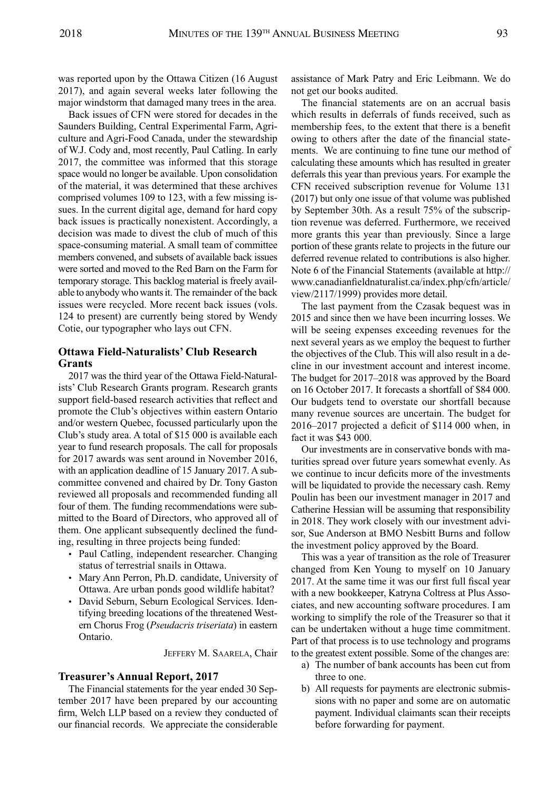Back issues of CFN were stored for decades in the Saunders Building, Central Experimental Farm, Agriculture and Agri-Food Canada, under the stewardship of W.J. Cody and, most recently, Paul Catling. In early 2017, the committee was informed that this storage space would no longer be available. Upon consolidation of the material, it was determined that these archives comprised volumes 109 to 123, with a few missing issues. In the current digital age, demand for hard copy back issues is practically nonexistent. Accordingly, a decision was made to divest the club of much of this space-consuming material. A small team of committee members convened, and subsets of available back issues were sorted and moved to the Red Barn on the Farm for temporary storage. This backlog material is freely available to anybody who wants it. The remainder of the back issues were recycled. More recent back issues (vols. 124 to present) are currently being stored by Wendy Cotie, our typographer who lays out CFN.

## **Ottawa Field-Naturalists' Club Research Grants**

2017 was the third year of the Ottawa Field-Naturalists' Club Research Grants program. Research grants support field-based research activities that reflect and promote the Club's objectives within eastern Ontario and/or western Quebec, focussed particularly upon the Club's study area. A total of \$15 000 is available each year to fund research proposals. The call for proposals for 2017 awards was sent around in November 2016, with an application deadline of 15 January 2017. A subcommittee convened and chaired by Dr. Tony Gaston reviewed all proposals and recommended funding all four of them. The funding recommendations were submitted to the Board of Directors, who approved all of them. One applicant subsequently declined the funding, resulting in three projects being funded:

- Paul Catling, independent researcher. Changing status of terrestrial snails in Ottawa.
- Mary Ann Perron, Ph.D. candidate, University of Ottawa. Are urban ponds good wildlife habitat?
- David Seburn, Seburn Ecological Services. Identifying breeding locations of the threatened Western Chorus Frog (*Pseudacris triseriata*) in eastern Ontario.

JEFFERY M. SAARELA, Chair

#### **Treasurer's Annual Report, 2017**

The Financial statements for the year ended 30 September 2017 have been prepared by our accounting firm, Welch LLP based on a review they conducted of our financial records. We appreciate the considerable

assistance of Mark Patry and Eric Leibmann. We do not get our books audited.

The financial statements are on an accrual basis which results in deferrals of funds received, such as membership fees, to the extent that there is a benefit owing to others after the date of the financial statements. We are continuing to fine tune our method of calculating these amounts which has resulted in greater deferrals this year than previous years. For example the CFN received subscription revenue for Volume 131 (2017) but only one issue of that volume was published by September 30th. As a result 75% of the subscription revenue was deferred. Furthermore, we received more grants this year than previously. Since a large portion of these grants relate to projects in the future our deferred revenue related to contributions is also higher. Note 6 of the Financial Statements (available at [http://](http://www.canadianfieldnaturalist.ca/index.php/cfn/article/view/2117/1999) [www.canadianfieldnaturalist.ca/index.php/cfn/article/](http://www.canadianfieldnaturalist.ca/index.php/cfn/article/view/2117/1999) [view/2117/1999\)](http://www.canadianfieldnaturalist.ca/index.php/cfn/article/view/2117/1999) provides more detail.

The last payment from the Czasak bequest was in 2015 and since then we have been incurring losses. We will be seeing expenses exceeding revenues for the next several years as we employ the bequest to further the objectives of the Club. This will also result in a decline in our investment account and interest income. The budget for 2017–2018 was approved by the Board on 16 October 2017. It forecasts a shortfall of \$84 000. Our budgets tend to overstate our shortfall because many revenue sources are uncertain. The budget for 2016–2017 projected a deficit of \$114 000 when, in fact it was \$43 000.

Our investments are in conservative bonds with maturities spread over future years somewhat evenly. As we continue to incur deficits more of the investments will be liquidated to provide the necessary cash. Remy Poulin has been our investment manager in 2017 and Catherine Hessian will be assuming that responsibility in 2018. They work closely with our investment advisor, Sue Anderson at BMO Nesbitt Burns and follow the investment policy approved by the Board.

This was a year of transition as the role of Treasurer changed from Ken Young to myself on 10 January 2017. At the same time it was our first full fiscal year with a new bookkeeper, Katryna Coltress at Plus Associates, and new accounting software procedures. I am working to simplify the role of the Treasurer so that it can be undertaken without a huge time commitment. Part of that process is to use technology and programs to the greatest extent possible. Some of the changes are:

- a) The number of bank accounts has been cut from three to one.
- b) All requests for payments are electronic submissions with no paper and some are on automatic payment. Individual claimants scan their receipts before forwarding for payment.